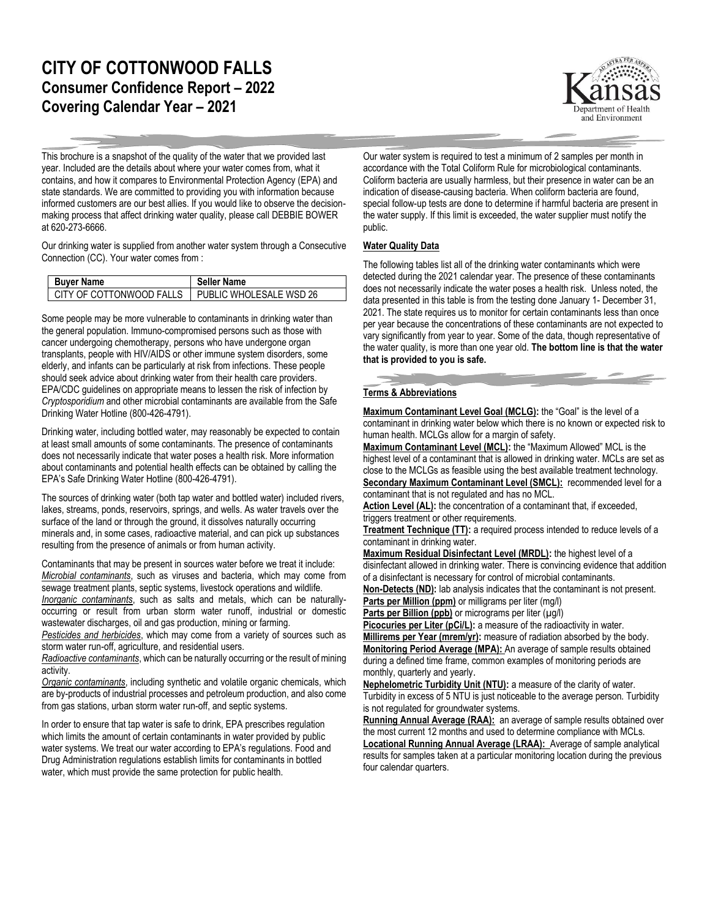## **CITY OF COTTONWOOD FALLS Consumer Confidence Report – 2022 Covering Calendar Year – 2021**



This brochure is a snapshot of the quality of the water that we provided last year. Included are the details about where your water comes from, what it contains, and how it compares to Environmental Protection Agency (EPA) and state standards. We are committed to providing you with information because informed customers are our best allies. If you would like to observe the decisionmaking process that affect drinking water quality, please call DEBBIE BOWER at 620-273-6666.

Our drinking water is supplied from another water system through a Consecutive Connection (CC). Your water comes from :

| <b>Buyer Name</b>                                  | <b>Seller Name</b> |
|----------------------------------------------------|--------------------|
| CITY OF COTTONWOOD FALLS   PUBLIC WHOLESALE WSD 26 |                    |

Some people may be more vulnerable to contaminants in drinking water than the general population. Immuno-compromised persons such as those with cancer undergoing chemotherapy, persons who have undergone organ transplants, people with HIV/AIDS or other immune system disorders, some elderly, and infants can be particularly at risk from infections. These people should seek advice about drinking water from their health care providers. EPA/CDC guidelines on appropriate means to lessen the risk of infection by *Cryptosporidium* and other microbial contaminants are available from the Safe Drinking Water Hotline (800-426-4791).

Drinking water, including bottled water, may reasonably be expected to contain at least small amounts of some contaminants. The presence of contaminants does not necessarily indicate that water poses a health risk. More information about contaminants and potential health effects can be obtained by calling the EPA's Safe Drinking Water Hotline (800-426-4791).

The sources of drinking water (both tap water and bottled water) included rivers, lakes, streams, ponds, reservoirs, springs, and wells. As water travels over the surface of the land or through the ground, it dissolves naturally occurring minerals and, in some cases, radioactive material, and can pick up substances resulting from the presence of animals or from human activity.

Contaminants that may be present in sources water before we treat it include: *Microbial contaminants*, such as viruses and bacteria, which may come from sewage treatment plants, septic systems, livestock operations and wildlife.

*Inorganic contaminants*, such as salts and metals, which can be naturallyoccurring or result from urban storm water runoff, industrial or domestic wastewater discharges, oil and gas production, mining or farming.

*Pesticides and herbicides*, which may come from a variety of sources such as storm water run-off, agriculture, and residential users.

*Radioactive contaminants*, which can be naturally occurring or the result of mining activity.

*Organic contaminants*, including synthetic and volatile organic chemicals, which are by-products of industrial processes and petroleum production, and also come from gas stations, urban storm water run-off, and septic systems.

In order to ensure that tap water is safe to drink, EPA prescribes regulation which limits the amount of certain contaminants in water provided by public water systems. We treat our water according to EPA's regulations. Food and Drug Administration regulations establish limits for contaminants in bottled water, which must provide the same protection for public health.

Our water system is required to test a minimum of 2 samples per month in accordance with the Total Coliform Rule for microbiological contaminants. Coliform bacteria are usually harmless, but their presence in water can be an indication of disease-causing bacteria. When coliform bacteria are found, special follow-up tests are done to determine if harmful bacteria are present in the water supply. If this limit is exceeded, the water supplier must notify the public.

## **Water Quality Data**

The following tables list all of the drinking water contaminants which were detected during the 2021 calendar year. The presence of these contaminants does not necessarily indicate the water poses a health risk. Unless noted, the data presented in this table is from the testing done January 1- December 31, 2021. The state requires us to monitor for certain contaminants less than once per year because the concentrations of these contaminants are not expected to vary significantly from year to year. Some of the data, though representative of the water quality, is more than one year old. **The bottom line is that the water that is provided to you is safe.**

## **Terms & Abbreviations**

**Maximum Contaminant Level Goal (MCLG):** the "Goal" is the level of a contaminant in drinking water below which there is no known or expected risk to human health. MCLGs allow for a margin of safety.

**Maximum Contaminant Level (MCL):** the "Maximum Allowed" MCL is the highest level of a contaminant that is allowed in drinking water. MCLs are set as close to the MCLGs as feasible using the best available treatment technology. **Secondary Maximum Contaminant Level (SMCL):** recommended level for a contaminant that is not regulated and has no MCL.

Action Level (AL): the concentration of a contaminant that, if exceeded, triggers treatment or other requirements.

**Treatment Technique (TT):** a required process intended to reduce levels of a contaminant in drinking water.

**Maximum Residual Disinfectant Level (MRDL):** the highest level of a disinfectant allowed in drinking water. There is convincing evidence that addition of a disinfectant is necessary for control of microbial contaminants.

**Non-Detects (ND):** lab analysis indicates that the contaminant is not present. **Parts per Million (ppm)** or milligrams per liter (mg/l)

Parts per Billion (ppb) or micrograms per liter (µg/l)

Picocuries per Liter (pCi/L): a measure of the radioactivity in water.

**Millirems per Year (mrem/yr):** measure of radiation absorbed by the body. **Monitoring Period Average (MPA):** An average of sample results obtained during a defined time frame, common examples of monitoring periods are monthly, quarterly and yearly.

**Nephelometric Turbidity Unit (NTU):** a measure of the clarity of water. Turbidity in excess of 5 NTU is just noticeable to the average person. Turbidity is not regulated for groundwater systems.

Running Annual Average (RAA): an average of sample results obtained over the most current 12 months and used to determine compliance with MCLs.

**Locational Running Annual Average (LRAA):** Average of sample analytical results for samples taken at a particular monitoring location during the previous four calendar quarters.